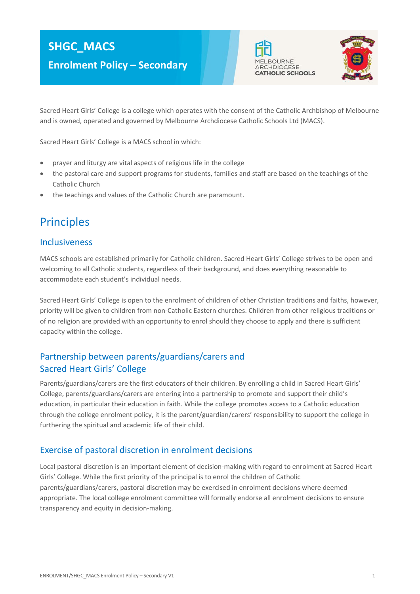# **SHGC\_MACS**

**Enrolment Policy – Secondary**





Sacred Heart Girls' College is a college which operates with the consent of the Catholic Archbishop of Melbourne and is owned, operated and governed by Melbourne Archdiocese Catholic Schools Ltd (MACS).

Sacred Heart Girls' College is a MACS school in which:

- prayer and liturgy are vital aspects of religious life in the college
- the pastoral care and support programs for students, families and staff are based on the teachings of the Catholic Church
- the teachings and values of the Catholic Church are paramount.

# **Principles**

#### Inclusiveness

MACS schools are established primarily for Catholic children. Sacred Heart Girls' College strives to be open and welcoming to all Catholic students, regardless of their background, and does everything reasonable to accommodate each student's individual needs.

Sacred Heart Girls' College is open to the enrolment of children of other Christian traditions and faiths, however, priority will be given to children from non-Catholic Eastern churches. Children from other religious traditions or of no religion are provided with an opportunity to enrol should they choose to apply and there is sufficient capacity within the college.

### Partnership between parents/guardians/carers and Sacred Heart Girls' College

Parents/guardians/carers are the first educators of their children. By enrolling a child in Sacred Heart Girls' College, parents/guardians/carers are entering into a partnership to promote and support their child's education, in particular their education in faith. While the college promotes access to a Catholic education through the college enrolment policy, it is the parent/guardian/carers' responsibility to support the college in furthering the spiritual and academic life of their child.

### Exercise of pastoral discretion in enrolment decisions

Local pastoral discretion is an important element of decision-making with regard to enrolment at Sacred Heart Girls' College. While the first priority of the principal is to enrol the children of Catholic parents/guardians/carers, pastoral discretion may be exercised in enrolment decisions where deemed appropriate. The local college enrolment committee will formally endorse all enrolment decisions to ensure transparency and equity in decision-making.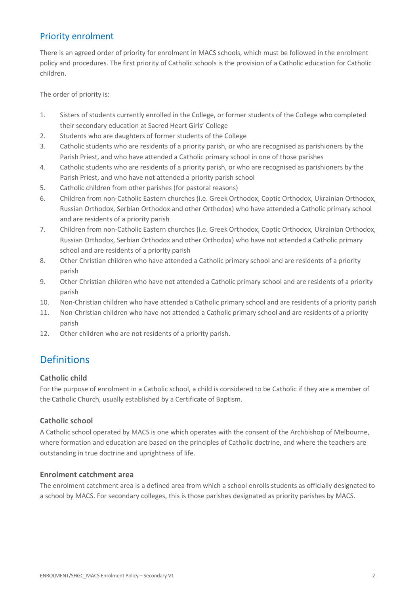### Priority enrolment

There is an agreed order of priority for enrolment in MACS schools, which must be followed in the enrolment policy and procedures. The first priority of Catholic schools is the provision of a Catholic education for Catholic children.

The order of priority is:

- 1. Sisters of students currently enrolled in the College, or former students of the College who completed their secondary education at Sacred Heart Girls' College
- 2. Students who are daughters of former students of the College
- 3. Catholic students who are residents of a priority parish, or who are recognised as parishioners by the Parish Priest, and who have attended a Catholic primary school in one of those parishes
- 4. Catholic students who are residents of a priority parish, or who are recognised as parishioners by the Parish Priest, and who have not attended a priority parish school
- 5. Catholic children from other parishes (for pastoral reasons)
- 6. Children from non-Catholic Eastern churches (i.e. Greek Orthodox, Coptic Orthodox, Ukrainian Orthodox, Russian Orthodox, Serbian Orthodox and other Orthodox) who have attended a Catholic primary school and are residents of a priority parish
- 7. Children from non-Catholic Eastern churches (i.e. Greek Orthodox, Coptic Orthodox, Ukrainian Orthodox, Russian Orthodox, Serbian Orthodox and other Orthodox) who have not attended a Catholic primary school and are residents of a priority parish
- 8. Other Christian children who have attended a Catholic primary school and are residents of a priority parish
- 9. Other Christian children who have not attended a Catholic primary school and are residents of a priority parish
- 10. Non-Christian children who have attended a Catholic primary school and are residents of a priority parish
- 11. Non-Christian children who have not attended a Catholic primary school and are residents of a priority parish
- 12. Other children who are not residents of a priority parish.

# **Definitions**

#### **Catholic child**

For the purpose of enrolment in a Catholic school, a child is considered to be Catholic if they are a member of the Catholic Church, usually established by a Certificate of Baptism.

#### **Catholic school**

A Catholic school operated by MACS is one which operates with the consent of the Archbishop of Melbourne, where formation and education are based on the principles of Catholic doctrine, and where the teachers are outstanding in true doctrine and uprightness of life.

#### **Enrolment catchment area**

The enrolment catchment area is a defined area from which a school enrolls students as officially designated to a school by MACS. For secondary colleges, this is those parishes designated as priority parishes by MACS.